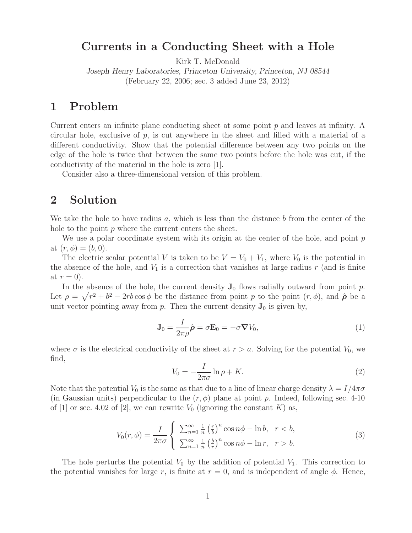## **Currents in a Conducting Sheet with a Hole**

Kirk T. McDonald

*Joseph Henry Laboratories, Princeton University, Princeton, NJ 08544* (February 22, 2006; sec. 3 added June 23, 2012)

## **1 Problem**

Current enters an infinite plane conducting sheet at some point p and leaves at infinity. A circular hole, exclusive of p, is cut anywhere in the sheet and filled with a material of a different conductivity. Show that the potential difference between any two points on the edge of the hole is twice that between the same two points before the hole was cut, if the conductivity of the material in the hole is zero [1].

Consider also a three-dimensional version of this problem.

# **2 Solution**

We take the hole to have radius  $a$ , which is less than the distance  $b$  from the center of the hole to the point  $p$  where the current enters the sheet.

We use a polar coordinate system with its origin at the center of the hole, and point  $p$ at  $(r, \phi) = (b, 0)$ .

The electric scalar potential V is taken to be  $V = V_0 + V_1$ , where  $V_0$  is the potential in the absence of the hole, and  $V_1$  is a correction that vanishes at large radius r (and is finite at  $r = 0$ ).

In the absence of the hole, the current density  $J_0$  flows radially outward from point p. Let  $\rho = \sqrt{r^2 + b^2 - 2rb\cos\phi}$  be the distance from point p to the point  $(r, \phi)$ , and  $\hat{\rho}$  be a unit vector pointing away from  $p$ . Then the current density  $J_0$  is given by,

$$
\mathbf{J}_0 = \frac{I}{2\pi\rho}\hat{\boldsymbol{\rho}} = \sigma \mathbf{E}_0 = -\sigma \boldsymbol{\nabla} V_0,
$$
\n(1)

where  $\sigma$  is the electrical conductivity of the sheet at  $r>a$ . Solving for the potential  $V_0$ , we find,

$$
V_0 = -\frac{I}{2\pi\sigma} \ln \rho + K. \tag{2}
$$

Note that the potential  $V_0$  is the same as that due to a line of linear charge density  $\lambda = I/4\pi\sigma$ (in Gaussian units) perpendicular to the  $(r, \phi)$  plane at point p. Indeed, following sec. 4-10 of [1] or sec. 4.02 of [2], we can rewrite  $V_0$  (ignoring the constant K) as,

$$
V_0(r,\phi) = \frac{I}{2\pi\sigma} \begin{cases} \sum_{n=1}^{\infty} \frac{1}{n} \left(\frac{r}{b}\right)^n \cos n\phi - \ln b, & r < b, \\ \sum_{n=1}^{\infty} \frac{1}{n} \left(\frac{b}{r}\right)^n \cos n\phi - \ln r, & r > b. \end{cases}
$$
(3)

The hole perturbs the potential  $V_0$  by the addition of potential  $V_1$ . This correction to the potential vanishes for large r, is finite at  $r = 0$ , and is independent of angle  $\phi$ . Hence,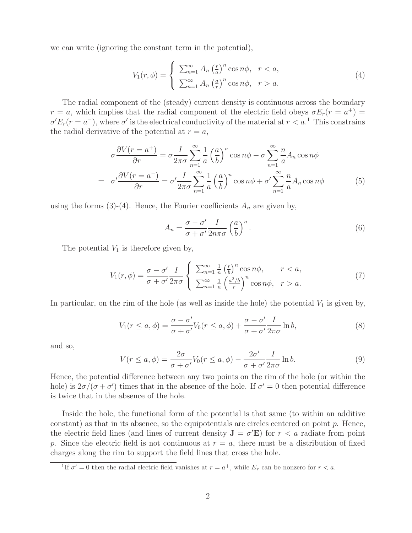we can write (ignoring the constant term in the potential),

$$
V_1(r,\phi) = \begin{cases} \sum_{n=1}^{\infty} A_n \left(\frac{r}{a}\right)^n \cos n\phi, & r < a, \\ \sum_{n=1}^{\infty} A_n \left(\frac{a}{r}\right)^n \cos n\phi, & r > a. \end{cases}
$$
(4)

The radial component of the (steady) current density is continuous across the boundary  $r = a$ , which implies that the radial component of the electric field obeys  $\sigma E_r(r = a^+) = a$  $\sigma' E_r(r = a^{-})$ , where  $\sigma'$  is the electrical conductivity of the material at  $r < a$ <sup>1</sup>. This constrains the radial derivative of the potential at  $r = a$ ,

$$
\sigma \frac{\partial V(r=a^{+})}{\partial r} = \sigma \frac{I}{2\pi\sigma} \sum_{n=1}^{\infty} \frac{1}{a} \left(\frac{a}{b}\right)^{n} \cos n\phi - \sigma \sum_{n=1}^{\infty} \frac{n}{a} A_{n} \cos n\phi
$$

$$
= \sigma' \frac{\partial V(r=a^{-})}{\partial r} = \sigma' \frac{I}{2\pi\sigma} \sum_{n=1}^{\infty} \frac{1}{a} \left(\frac{a}{b}\right)^{n} \cos n\phi + \sigma' \sum_{n=1}^{\infty} \frac{n}{a} A_{n} \cos n\phi \tag{5}
$$

using the forms (3)-(4). Hence, the Fourier coefficients  $A_n$  are given by,

$$
A_n = \frac{\sigma - \sigma'}{\sigma + \sigma'} \frac{I}{2n\pi\sigma} \left(\frac{a}{b}\right)^n.
$$
\n(6)

The potential  $V_1$  is therefore given by,

$$
V_1(r,\phi) = \frac{\sigma - \sigma'}{\sigma + \sigma'} \frac{I}{2\pi\sigma} \left\{ \begin{array}{l} \sum_{n=1}^{\infty} \frac{1}{n} \left(\frac{r}{b}\right)^n \cos n\phi, & r < a, \\ \sum_{n=1}^{\infty} \frac{1}{n} \left(\frac{a^2/b}{r}\right)^n \cos n\phi, & r > a. \end{array} \right. \tag{7}
$$

In particular, on the rim of the hole (as well as inside the hole) the potential  $V_1$  is given by,

$$
V_1(r \le a, \phi) = \frac{\sigma - \sigma'}{\sigma + \sigma'} V_0(r \le a, \phi) + \frac{\sigma - \sigma'}{\sigma + \sigma'} \frac{I}{2\pi\sigma} \ln b,
$$
\n(8)

and so,

$$
V(r \le a, \phi) = \frac{2\sigma}{\sigma + \sigma'} V_0(r \le a, \phi) - \frac{2\sigma'}{\sigma + \sigma'} \frac{I}{2\pi\sigma} \ln b.
$$
 (9)

Hence, the potential difference between any two points on the rim of the hole (or within the hole) is  $2\sigma/(\sigma + \sigma')$  times that in the absence of the hole. If  $\sigma' = 0$  then potential difference is twice that in the absence of the hole.

Inside the hole, the functional form of the potential is that same (to within an additive constant) as that in its absence, so the equipotentials are circles centered on point  $p$ . Hence, the electric field lines (and lines of current density  $J = \sigma' E$ ) for  $r < a$  radiate from point p. Since the electric field is not continuous at  $r = a$ , there must be a distribution of fixed charges along the rim to support the field lines that cross the hole.

<sup>&</sup>lt;sup>1</sup>If  $\sigma' = 0$  then the radial electric field vanishes at  $r = a^+$ , while  $E_r$  can be nonzero for  $r < a$ .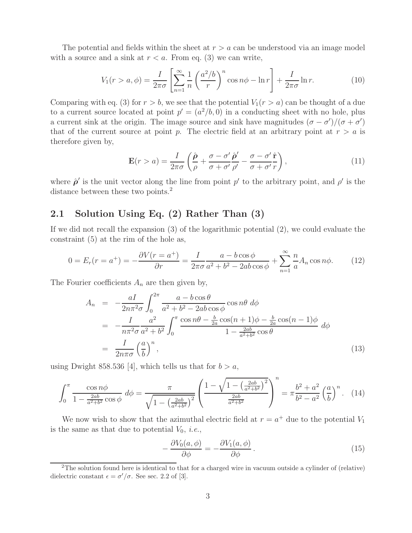The potential and fields within the sheet at  $r > a$  can be understood via an image model with a source and a sink at  $r < a$ . From eq. (3) we can write,

$$
V_1(r > a, \phi) = \frac{I}{2\pi\sigma} \left[ \sum_{n=1}^{\infty} \frac{1}{n} \left( \frac{a^2/b}{r} \right)^n \cos n\phi - \ln r \right] + \frac{I}{2\pi\sigma} \ln r.
$$
 (10)

Comparing with eq. (3) for  $r>b$ , we see that the potential  $V_1(r>a)$  can be thought of a due to a current source located at point  $p' = (a^2/b, 0)$  in a conducting sheet with no hole, plus a current sink at the origin. The image source and sink have magnitudes  $(\sigma - \sigma')/(\sigma + \sigma')$ that of the current source at point p. The electric field at an arbitrary point at  $r > a$  is therefore given by,

$$
\mathbf{E}(r > a) = \frac{I}{2\pi\sigma} \left( \frac{\hat{\boldsymbol{\rho}}}{\rho} + \frac{\sigma - \sigma'}{\sigma + \sigma'} \frac{\hat{\boldsymbol{\rho}}'}{\rho'} - \frac{\sigma - \sigma'}{\sigma + \sigma'} \frac{\hat{\mathbf{r}}}{r} \right),\tag{11}
$$

where  $\hat{\rho}'$  is the unit vector along the line from point  $p'$  to the arbitrary point, and  $\rho'$  is the distance between these two points.<sup>2</sup>

#### **2.1 Solution Using Eq. (2) Rather Than (3)**

If we did not recall the expansion (3) of the logarithmic potential (2), we could evaluate the constraint (5) at the rim of the hole as,

$$
0 = E_r(r = a^+) = -\frac{\partial V(r = a^+)}{\partial r} = \frac{I}{2\pi\sigma} \frac{a - b\cos\phi}{a^2 + b^2 - 2ab\cos\phi} + \sum_{n=1}^{\infty} \frac{n}{a} A_n \cos n\phi.
$$
 (12)

The Fourier coefficients  $A_n$  are then given by,

$$
A_n = -\frac{aI}{2n\pi^2\sigma} \int_0^{2\pi} \frac{a - b\cos\theta}{a^2 + b^2 - 2ab\cos\phi} \cos n\theta \, d\phi
$$
  
= 
$$
-\frac{I}{n\pi^2\sigma} \frac{a^2}{a^2 + b^2} \int_0^{\pi} \frac{\cos n\theta - \frac{b}{2a}\cos(n+1)\phi - \frac{b}{2a}\cos(n-1)\phi}{1 - \frac{2ab}{a^2 + b^2}\cos\theta} \, d\phi
$$
  
= 
$$
\frac{I}{2n\pi\sigma} \left(\frac{a}{b}\right)^n,
$$
 (13)

using Dwight 858.536 [4], which tells us that for  $b > a$ ,

$$
\int_0^{\pi} \frac{\cos n\phi}{1 - \frac{2ab}{a^2 + b^2} \cos \phi} d\phi = \frac{\pi}{\sqrt{1 - \left(\frac{2ab}{a^2 + b^2}\right)^2}} \left(\frac{1 - \sqrt{1 - \left(\frac{2ab}{a^2 + b^2}\right)^2}}{\frac{2ab}{a^2 + b^2}}\right)^n = \pi \frac{b^2 + a^2}{b^2 - a^2} \left(\frac{a}{b}\right)^n. (14)
$$

We now wish to show that the azimuthal electric field at  $r = a^+$  due to the potential  $V_1$ is the same as that due to potential  $V_0$ , *i.e.*,

$$
-\frac{\partial V_0(a,\phi)}{\partial \phi} = -\frac{\partial V_1(a,\phi)}{\partial \phi}.
$$
\n(15)

<sup>2</sup>The solution found here is identical to that for a charged wire in vacuum outside a cylinder of (relative) dielectric constant  $\epsilon = \sigma'/\sigma$ . See sec. 2.2 of [3].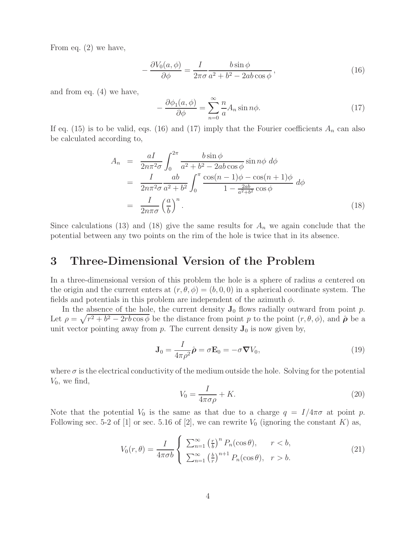From eq. (2) we have,

$$
-\frac{\partial V_0(a,\phi)}{\partial \phi} = \frac{I}{2\pi\sigma} \frac{b\sin\phi}{a^2 + b^2 - 2ab\cos\phi},\tag{16}
$$

and from eq. (4) we have,

$$
-\frac{\partial \phi_1(a,\phi)}{\partial \phi} = \sum_{n=0}^{\infty} \frac{n}{a} A_n \sin n\phi.
$$
 (17)

If eq. (15) is to be valid, eqs. (16) and (17) imply that the Fourier coefficients  $A_n$  can also be calculated according to,

$$
A_n = \frac{aI}{2n\pi^2\sigma} \int_0^{2\pi} \frac{b\sin\phi}{a^2 + b^2 - 2ab\cos\phi} \sin n\phi \,d\phi
$$
  
= 
$$
\frac{I}{2n\pi^2\sigma} \frac{ab}{a^2 + b^2} \int_0^{\pi} \frac{\cos(n-1)\phi - \cos(n+1)\phi}{1 - \frac{2ab}{a^2 + b^2}\cos\phi} \,d\phi
$$
  
= 
$$
\frac{I}{2n\pi\sigma} \left(\frac{a}{b}\right)^n.
$$
 (18)

Since calculations (13) and (18) give the same results for  $A_n$  we again conclude that the potential between any two points on the rim of the hole is twice that in its absence.

### **3 Three-Dimensional Version of the Problem**

In a three-dimensional version of this problem the hole is a sphere of radius a centered on the origin and the current enters at  $(r, \theta, \phi) = (b, 0, 0)$  in a spherical coordinate system. The fields and potentials in this problem are independent of the azimuth  $\phi$ .

In the absence of the hole, the current density  $J_0$  flows radially outward from point p. Let  $\rho = \sqrt{r^2 + b^2 - 2rb\cos\phi}$  be the distance from point p to the point  $(r, \theta, \phi)$ , and  $\hat{\rho}$  be a unit vector pointing away from p. The current density  $J_0$  is now given by,

$$
\mathbf{J}_0 = \frac{I}{4\pi\rho^2} \hat{\boldsymbol{\rho}} = \sigma \mathbf{E}_0 = -\sigma \boldsymbol{\nabla} V_0,
$$
\n(19)

where  $\sigma$  is the electrical conductivity of the medium outside the hole. Solving for the potential  $V_0$ , we find,

$$
V_0 = \frac{I}{4\pi\sigma\rho} + K.\tag{20}
$$

Note that the potential  $V_0$  is the same as that due to a charge  $q = I/4\pi\sigma$  at point p. Following sec. 5-2 of [1] or sec. 5.16 of [2], we can rewrite  $V_0$  (ignoring the constant K) as,

$$
V_0(r,\theta) = \frac{I}{4\pi\sigma b} \begin{cases} \sum_{n=1}^{\infty} \left(\frac{r}{b}\right)^n P_n(\cos\theta), & r < b, \\ \sum_{n=1}^{\infty} \left(\frac{b}{r}\right)^{n+1} P_n(\cos\theta), & r > b. \end{cases}
$$
(21)